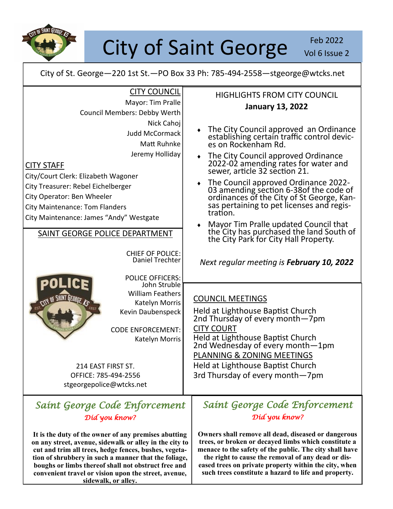

# City of Saint George Vol 6 Issue

Vol 6 Issue 2

City of St. George—220 1st St.—PO Box 33 Ph: 785-494-2558—stgeorge@wtcks.net

| 214 EAST FIRST ST.<br>OFFICE: 785-494-2556<br>stgeorgepolice@wtcks.net<br>Saint George Code Enforcement<br>Díd you know?<br>It is the duty of the owner of any premises abutting<br>on any street, avenue, sidewalk or alley in the city to<br>cut and trim all trees, hedge fences, bushes, vegeta-<br>tion of shrubbery in such a manner that the foliage, | PLANNING & ZONING MEETINGS<br>Held at Lighthouse Baptist Church<br>3rd Thursday of every month-7pm<br>Saint George Code Enforcement<br>Díd you know?<br>Owners shall remove all dead, diseased or dangerous<br>trees, or broken or decayed limbs which constitute a<br>menace to the safety of the public. The city shall have<br>the right to cause the removal of any dead or dis-                                                                                                       |
|--------------------------------------------------------------------------------------------------------------------------------------------------------------------------------------------------------------------------------------------------------------------------------------------------------------------------------------------------------------|--------------------------------------------------------------------------------------------------------------------------------------------------------------------------------------------------------------------------------------------------------------------------------------------------------------------------------------------------------------------------------------------------------------------------------------------------------------------------------------------|
| John Struble<br><b>William Feathers</b><br><b>IRGE KS</b><br>Katelyn Morris<br>Kevin Daubenspeck<br><b>CODE ENFORCEMENT:</b><br>Katelyn Morris                                                                                                                                                                                                               | <b>COUNCIL MEETINGS</b><br>Held at Lighthouse Baptist Church<br>2nd Thursday of every month-7pm<br><b>CITY COURT</b><br>Held at Lighthouse Baptist Church<br>2nd Wednesday of every month-1pm                                                                                                                                                                                                                                                                                              |
| <b>CHIEF OF POLICE:</b><br>Daniel Trechter<br><b>POLICE OFFICERS:</b>                                                                                                                                                                                                                                                                                        | Next regular meeting is February 10, 2022                                                                                                                                                                                                                                                                                                                                                                                                                                                  |
| Matt Ruhnke<br>Jeremy Holliday<br><b>CITY STAFF</b><br>City/Court Clerk: Elizabeth Wagoner<br>City Treasurer: Rebel Eichelberger<br>City Operator: Ben Wheeler<br><b>City Maintenance: Tom Flanders</b><br>City Maintenance: James "Andy" Westgate<br>SAINT GEORGE POLICE DEPARTMENT                                                                         | es on Rockenham Rd.<br>The City Council approved Ordinance<br>$\bullet$<br>2022-02 amending rates for water and<br>sewer, article 32 section 21.<br>The Council approved Ordinance 2022-<br>$\blacklozenge$<br>03 amending section 6-38 of the code of<br>ordinances of the City of St George, Kansas pertaining to pet licenses and regis-<br>tration.<br>Mayor Tim Pralle updated Council that<br>۰<br>the City has purchased the land South of<br>the City Park for City Hall Property. |
| <b>CITY COUNCIL</b><br>Mayor: Tim Pralle<br>Council Members: Debby Werth<br>Nick Cahoj<br><b>Judd McCormack</b>                                                                                                                                                                                                                                              | <b>HIGHLIGHTS FROM CITY COUNCIL</b><br><b>January 13, 2022</b><br>The City Council approved an Ordinance<br>establishing certain traffic control devic-                                                                                                                                                                                                                                                                                                                                    |

**boughs or limbs thereof shall not obstruct free and convenient travel or vision upon the street, avenue, sidewalk, or alley.**

**the right to cause the removal of any dead or diseased trees on private property within the city, when such trees constitute a hazard to life and property.**